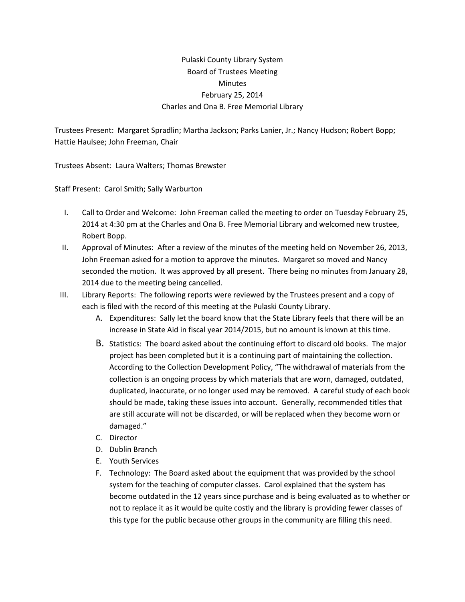## Pulaski County Library System Board of Trustees Meeting **Minutes** February 25, 2014 Charles and Ona B. Free Memorial Library

Trustees Present: Margaret Spradlin; Martha Jackson; Parks Lanier, Jr.; Nancy Hudson; Robert Bopp; Hattie Haulsee; John Freeman, Chair

Trustees Absent: Laura Walters; Thomas Brewster

Staff Present: Carol Smith; Sally Warburton

- I. Call to Order and Welcome: John Freeman called the meeting to order on Tuesday February 25, 2014 at 4:30 pm at the Charles and Ona B. Free Memorial Library and welcomed new trustee, Robert Bopp.
- II. Approval of Minutes: After a review of the minutes of the meeting held on November 26, 2013, John Freeman asked for a motion to approve the minutes. Margaret so moved and Nancy seconded the motion. It was approved by all present. There being no minutes from January 28, 2014 due to the meeting being cancelled.
- III. Library Reports: The following reports were reviewed by the Trustees present and a copy of each is filed with the record of this meeting at the Pulaski County Library.
	- A. Expenditures: Sally let the board know that the State Library feels that there will be an increase in State Aid in fiscal year 2014/2015, but no amount is known at this time.
	- B. Statistics: The board asked about the continuing effort to discard old books. The major project has been completed but it is a continuing part of maintaining the collection. According to the Collection Development Policy, "The withdrawal of materials from the collection is an ongoing process by which materials that are worn, damaged, outdated, duplicated, inaccurate, or no longer used may be removed. A careful study of each book should be made, taking these issues into account. Generally, recommended titles that are still accurate will not be discarded, or will be replaced when they become worn or damaged."
	- C. Director
	- D. Dublin Branch
	- E. Youth Services
	- F. Technology: The Board asked about the equipment that was provided by the school system for the teaching of computer classes. Carol explained that the system has become outdated in the 12 years since purchase and is being evaluated as to whether or not to replace it as it would be quite costly and the library is providing fewer classes of this type for the public because other groups in the community are filling this need.